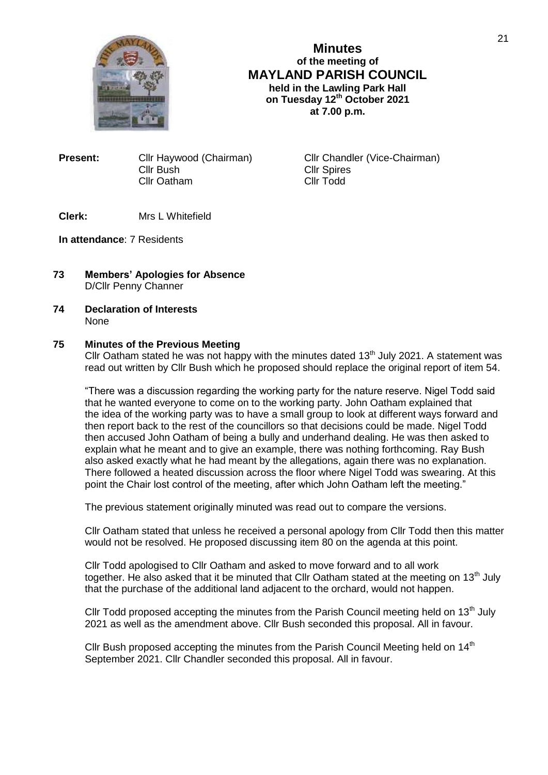

**Minutes of the meeting of MAYLAND PARISH COUNCIL held in the Lawling Park Hall on Tuesday 12th October 2021 at 7.00 p.m.**

**Present:** Cllr Haywood (Chairman) Cllr Chandler (Vice-Chairman) Cllr Bush Cllr Spires Cllr Oatham

# **Clerk:** Mrs L Whitefield

#### **In attendance**: 7 Residents

- **73 Members' Apologies for Absence** D/Cllr Penny Channer
- **74 Declaration of Interests** None

#### **75 Minutes of the Previous Meeting**

Cllr Oatham stated he was not happy with the minutes dated  $13<sup>th</sup>$  July 2021. A statement was read out written by Cllr Bush which he proposed should replace the original report of item 54.

"There was a discussion regarding the working party for the nature reserve. Nigel Todd said that he wanted everyone to come on to the working party. John Oatham explained that the idea of the working party was to have a small group to look at different ways forward and then report back to the rest of the councillors so that decisions could be made. Nigel Todd then accused John Oatham of being a bully and underhand dealing. He was then asked to explain what he meant and to give an example, there was nothing forthcoming. Ray Bush also asked exactly what he had meant by the allegations, again there was no explanation. There followed a heated discussion across the floor where Nigel Todd was swearing. At this point the Chair lost control of the meeting, after which John Oatham left the meeting."

The previous statement originally minuted was read out to compare the versions.

Cllr Oatham stated that unless he received a personal apology from Cllr Todd then this matter would not be resolved. He proposed discussing item 80 on the agenda at this point.

Cllr Todd apologised to Cllr Oatham and asked to move forward and to all work together. He also asked that it be minuted that Cllr Oatham stated at the meeting on 13<sup>th</sup> July that the purchase of the additional land adjacent to the orchard, would not happen.

Cllr Todd proposed accepting the minutes from the Parish Council meeting held on 13<sup>th</sup> July 2021 as well as the amendment above. Cllr Bush seconded this proposal. All in favour.

Cllr Bush proposed accepting the minutes from the Parish Council Meeting held on 14<sup>th</sup> September 2021. Cllr Chandler seconded this proposal. All in favour.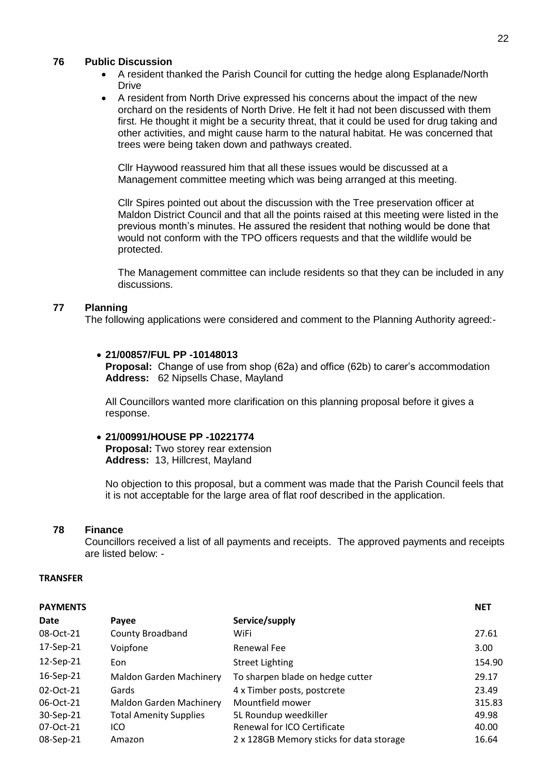#### **76 Public Discussion**

- A resident thanked the Parish Council for cutting the hedge along Esplanade/North Drive
- A resident from North Drive expressed his concerns about the impact of the new orchard on the residents of North Drive. He felt it had not been discussed with them first. He thought it might be a security threat, that it could be used for drug taking and other activities, and might cause harm to the natural habitat. He was concerned that trees were being taken down and pathways created.

Cllr Haywood reassured him that all these issues would be discussed at a Management committee meeting which was being arranged at this meeting.

Cllr Spires pointed out about the discussion with the Tree preservation officer at Maldon District Council and that all the points raised at this meeting were listed in the previous month's minutes. He assured the resident that nothing would be done that would not conform with the TPO officers requests and that the wildlife would be protected.

The Management committee can include residents so that they can be included in any discussions.

## **77 Planning**

The following applications were considered and comment to the Planning Authority agreed:-

#### **21/00857/FUL PP -10148013**

**Proposal:** Change of use from shop (62a) and office (62b) to carer's accommodation **Address:** 62 Nipsells Chase, Mayland

All Councillors wanted more clarification on this planning proposal before it gives a response.

#### **21/00991/HOUSE PP -10221774**

**Proposal:** Two storey rear extension **Address:** 13, Hillcrest, Mayland

No objection to this proposal, but a comment was made that the Parish Council feels that it is not acceptable for the large area of flat roof described in the application.

#### **78 Finance**

Councillors received a list of all payments and receipts. The approved payments and receipts are listed below: -

#### **TRANSFER**

| <b>PAYMENTS</b> |                                |                                          | <b>NET</b> |
|-----------------|--------------------------------|------------------------------------------|------------|
| <b>Date</b>     | Payee                          | Service/supply                           |            |
| 08-Oct-21       | County Broadband               | WiFi                                     | 27.61      |
| 17-Sep-21       | Voipfone                       | Renewal Fee                              | 3.00       |
| 12-Sep-21       | Eon                            | <b>Street Lighting</b>                   | 154.90     |
| 16-Sep-21       | <b>Maldon Garden Machinery</b> | To sharpen blade on hedge cutter         | 29.17      |
| 02-Oct-21       | Gards                          | 4 x Timber posts, postcrete              | 23.49      |
| 06-Oct-21       | <b>Maldon Garden Machinery</b> | Mountfield mower                         | 315.83     |
| 30-Sep-21       | <b>Total Amenity Supplies</b>  | 5L Roundup weedkiller                    | 49.98      |
| 07-Oct-21       | ICO                            | Renewal for ICO Certificate              | 40.00      |
| 08-Sep-21       | Amazon                         | 2 x 128GB Memory sticks for data storage | 16.64      |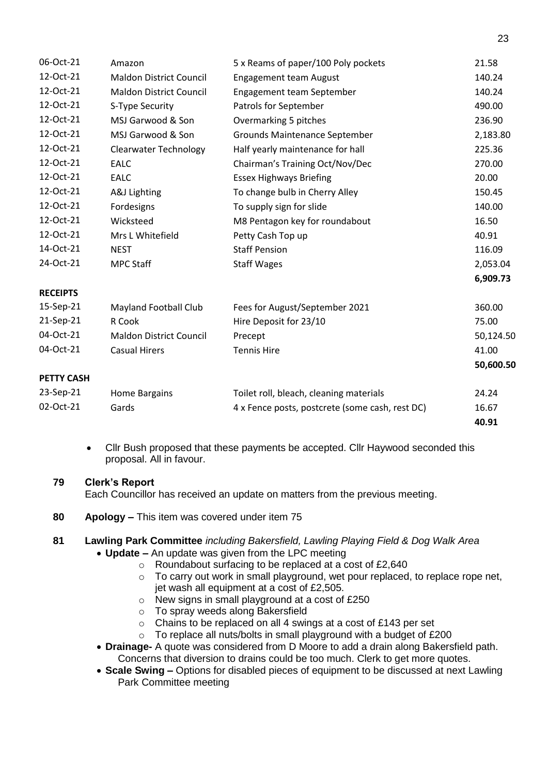| 06-Oct-21         | Amazon                         | 5 x Reams of paper/100 Poly pockets             | 21.58     |
|-------------------|--------------------------------|-------------------------------------------------|-----------|
| 12-Oct-21         | <b>Maldon District Council</b> | <b>Engagement team August</b>                   | 140.24    |
| 12-Oct-21         | <b>Maldon District Council</b> | Engagement team September                       | 140.24    |
| 12-Oct-21         | S-Type Security                | Patrols for September                           | 490.00    |
| 12-Oct-21         | MSJ Garwood & Son              | Overmarking 5 pitches                           | 236.90    |
| 12-Oct-21         | MSJ Garwood & Son              | Grounds Maintenance September                   | 2,183.80  |
| 12-Oct-21         | <b>Clearwater Technology</b>   | Half yearly maintenance for hall                | 225.36    |
| 12-Oct-21         | <b>EALC</b>                    | Chairman's Training Oct/Nov/Dec                 | 270.00    |
| 12-Oct-21         | <b>EALC</b>                    | <b>Essex Highways Briefing</b>                  | 20.00     |
| 12-Oct-21         | A&J Lighting                   | To change bulb in Cherry Alley                  | 150.45    |
| 12-Oct-21         | Fordesigns                     | To supply sign for slide                        | 140.00    |
| 12-Oct-21         | Wicksteed                      | M8 Pentagon key for roundabout                  | 16.50     |
| 12-Oct-21         | Mrs L Whitefield               | Petty Cash Top up                               | 40.91     |
| 14-Oct-21         | <b>NEST</b>                    | <b>Staff Pension</b>                            | 116.09    |
| 24-Oct-21         | <b>MPC Staff</b>               | <b>Staff Wages</b>                              | 2,053.04  |
|                   |                                |                                                 | 6,909.73  |
| <b>RECEIPTS</b>   |                                |                                                 |           |
| 15-Sep-21         | <b>Mayland Football Club</b>   | Fees for August/September 2021                  | 360.00    |
| 21-Sep-21         | R Cook                         | Hire Deposit for 23/10                          | 75.00     |
| 04-Oct-21         | <b>Maldon District Council</b> | Precept                                         | 50,124.50 |
| 04-Oct-21         | <b>Casual Hirers</b>           | <b>Tennis Hire</b>                              | 41.00     |
|                   |                                |                                                 | 50,600.50 |
| <b>PETTY CASH</b> |                                |                                                 |           |
| 23-Sep-21         | Home Bargains                  | Toilet roll, bleach, cleaning materials         | 24.24     |
| 02-Oct-21         | Gards                          | 4 x Fence posts, postcrete (some cash, rest DC) | 16.67     |
|                   |                                |                                                 | 40.91     |

 Cllr Bush proposed that these payments be accepted. Cllr Haywood seconded this proposal. All in favour.

## **79 Clerk's Report**

Each Councillor has received an update on matters from the previous meeting.

**80 Apology –** This item was covered under item 75

# **81 Lawling Park Committee** *including Bakersfield, Lawling Playing Field & Dog Walk Area*

- **Update –** An update was given from the LPC meeting
	- o Roundabout surfacing to be replaced at a cost of £2,640
	- o To carry out work in small playground, wet pour replaced, to replace rope net, jet wash all equipment at a cost of £2,505.
	- o New signs in small playground at a cost of £250
	- o To spray weeds along Bakersfield
	- o Chains to be replaced on all 4 swings at a cost of £143 per set
	- o To replace all nuts/bolts in small playground with a budget of £200
- **Drainage-** A quote was considered from D Moore to add a drain along Bakersfield path. Concerns that diversion to drains could be too much. Clerk to get more quotes.
- **Scale Swing –** Options for disabled pieces of equipment to be discussed at next Lawling Park Committee meeting